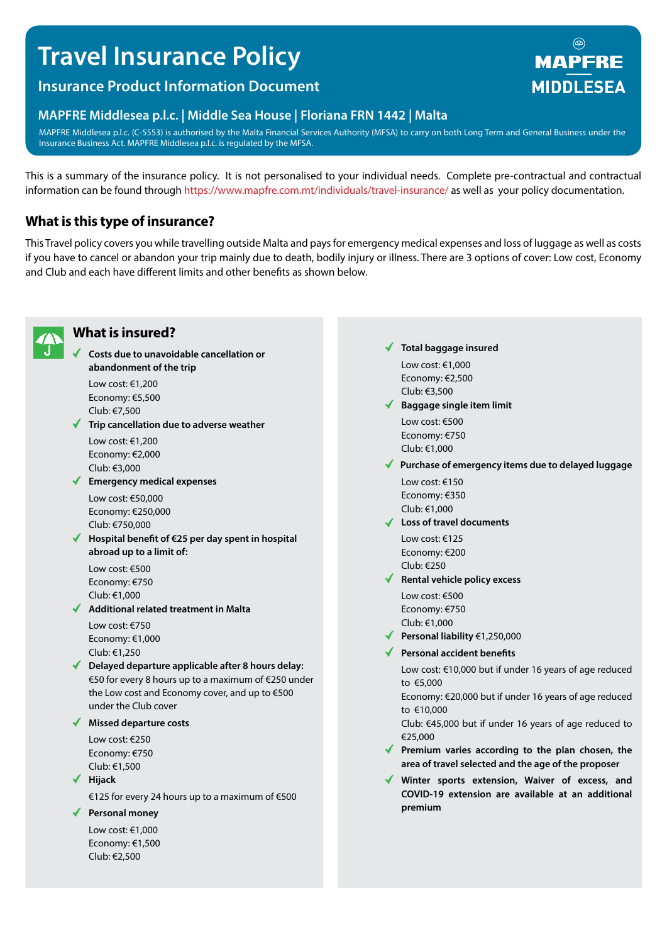# **Travel Insurance Policy**

# **Insurance Product Information Document**

### **MAPFRE Middlesea p.l.c. | Middle Sea House | Floriana FRN 1442 | Malta**

MAPFRE Middlesea p.l.c. (C-5553) is authorised by the Malta Financial Services Authority (MFSA) to carry on both Long Term and General Business under the Insurance Business Act. MAPFRE Middlesea p.l.c. is regulated by the MFSA.

This is a summary of the insurance policy. It is not personalised to your individual needs. Complete pre-contractual and contractual information can be found through https://www.mapfre.com.mt/individuals/travel-insurance/ as well as your policy documentation.

# **What is this type of insurance?**

This Travel policy covers you while travelling outside Malta and pays for emergency medical expenses and loss of luggage as well as costs if you have to cancel or abandon your trip mainly due to death, bodily injury or illness. There are 3 options of cover: Low cost, Economy and Club and each have different limits and other benefits as shown below.



# **What is insured?**

**Costs due to unavoidable cancellation or abandonment of the trip**

Low cost: €1,200 Economy: €5,500 Club: €7,500

**Trip cancellation due to adverse weather** Low cost: €1,200

Economy: €2,000 Club: €3,000

**Emergency medical expenses**

Low cost: €50,000 Economy: €250,000 Club: €750,000

**Hospital benefit of €25 per day spent in hospital abroad up to a limit of:**

Low cost: €500 Economy: €750 Club: €1,000

**Additional related treatment in Malta** Low cost: €750

Economy: €1,000 Club: €1,250

**Delayed departure applicable after 8 hours delay:**  €50 for every 8 hours up to a maximum of €250 under the Low cost and Economy cover, and up to €500 under the Club cover

**Missed departure costs**

Low cost: €250 Economy: €750 Club: €1,500

**Hijack**

€125 for every 24 hours up to a maximum of €500

**Personal money**

Low cost: €1,000 Economy: €1,500 Club: €2,500

**Total baggage insured** Low cost: €1,000

Economy: €2,500 Club: €3,500

- **Baggage single item limit** Low cost: €500 Economy: €750 Club: €1,000
- **Purchase of emergency items due to delayed luggage**
	- Low cost: €150 Economy: €350 Club: €1,000
- **Loss of travel documents** Low cost: €125 Economy: €200 Club: €250
- **Rental vehicle policy excess**

Low cost: €500 Economy: €750 Club: €1,000

- **Personal liability** €1,250,000
- **Personal accident benefits**

Low cost: €10,000 but if under 16 years of age reduced to €5,000

Economy: €20,000 but if under 16 years of age reduced to €10,000

Club: €45,000 but if under 16 years of age reduced to €25,000

- **Premium varies according to the plan chosen, the area of travel selected and the age of the proposer**
- **Winter sports extension, Waiver of excess, and COVID-19 extension are available at an additional premium**